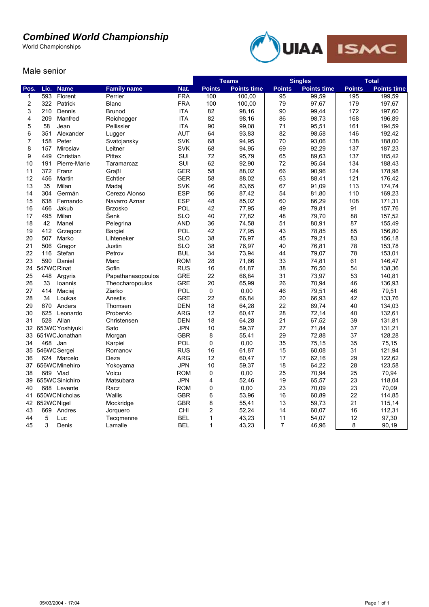## *Combined World Championship*

World Championships



## Male senior

|                |             |                 |                    |            | <b>Teams</b>  |                    | <b>Singles</b>  |                    | <b>Total</b>  |                    |
|----------------|-------------|-----------------|--------------------|------------|---------------|--------------------|-----------------|--------------------|---------------|--------------------|
| Pos.           | Lic.        | <b>Name</b>     | <b>Family name</b> | Nat.       | <b>Points</b> | <b>Points time</b> | <b>Points</b>   | <b>Points time</b> | <b>Points</b> | <b>Points time</b> |
| 1              | 593         | Florent         | Perrier            | <b>FRA</b> | 100           | 100,00             | $\overline{95}$ | 99,59              | 195           | 199,59             |
| $\overline{c}$ | 322         | Patrick         | <b>Blanc</b>       | <b>FRA</b> | 100           | 100,00             | 79              | 97,67              | 179           | 197,67             |
| 3              | 210         | Dennis          | Brunod             | <b>ITA</b> | 82            | 98,16              | 90              | 99,44              | 172           | 197,60             |
| $\overline{4}$ | 209         | Manfred         | Reichegger         | <b>ITA</b> | 82            | 98,16              | 86              | 98,73              | 168           | 196,89             |
| 5              | 58          | Jean            | Pellissier         | <b>ITA</b> | 90            | 99,08              | 71              | 95,51              | 161           | 194,59             |
| 6              | 351         | Alexander       | Lugger             | <b>AUT</b> | 64            | 93,83              | 82              | 98,58              | 146           | 192,42             |
| $\overline{7}$ | 158         | Peter           | Svatojansky        | <b>SVK</b> | 68            | 94,95              | 70              | 93,06              | 138           | 188,00             |
| 8              | 157         | Miroslav        | Leitner            | <b>SVK</b> | 68            | 94,95              | 69              | 92,29              | 137           | 187,23             |
| 9              | 449         | Christian       | Pittex             | <b>SUI</b> | 72            | 95,79              | 65              | 89,63              | 137           | 185,42             |
| 10             | 191         | Pierre-Marie    | Taramarcaz         | SUI        | 62            | 92,90              | 72              | 95,54              | 134           | 188,43             |
| 11             | 372         | Franz           | Graßl              | <b>GER</b> | 58            | 88,02              | 66              | 90,96              | 124           | 178,98             |
| 12             | 456         | Martin          | Echtler            | <b>GER</b> | 58            | 88,02              | 63              | 88,41              | 121           | 176,42             |
| 13             | 35          | Milan           | Madaj              | <b>SVK</b> | 46            | 83,65              | 67              | 91,09              | 113           | 174,74             |
| 14             | 304         | Germán          | Cerezo Alonso      | <b>ESP</b> | 56            | 87,42              | 54              | 81,80              | 110           | 169,23             |
| 15             | 638         | Fernando        | Navarro Aznar      | <b>ESP</b> | 48            | 85,02              | 60              | 86,29              | 108           | 171,31             |
| 16             | 466         | Jakub           | <b>Brzosko</b>     | POL        | 42            | 77,95              | 49              | 79,81              | 91            | 157,76             |
| 17             | 495         | Milan           | Šenk               | <b>SLO</b> | 40            | 77,82              | 48              | 79,70              | 88            | 157,52             |
| 18             | 42          | Manel           | Pelegrina          | <b>AND</b> | 36            | 74,58              | 51              | 80,91              | 87            | 155,49             |
| 19             | 412         | Grzegorz        | <b>Bargiel</b>     | POL        | 42            | 77,95              | 43              | 78,85              | 85            | 156,80             |
| 20             | 507         | Marko           | Lihteneker         | <b>SLO</b> | 38            | 76,97              | 45              | 79,21              | 83            | 156,18             |
| 21             | 506         | Gregor          | Justin             | <b>SLO</b> | 38            | 76,97              | 40              | 76,81              | 78            | 153,78             |
| 22             | 116         | Stefan          | Petrov             | <b>BUL</b> | 34            | 73,94              | 44              | 79,07              | 78            | 153,01             |
| 23             | 590         | Daniel          | Marc               | <b>ROM</b> | 28            | 71,66              | 33              | 74,81              | 61            | 146,47             |
| 24             | 547WC Rinat |                 | Sofin              | <b>RUS</b> | 16            | 61,87              | 38              | 76,50              | 54            | 138,36             |
| 25             | 448         | Argyris         | Papathanasopoulos  | <b>GRE</b> | 22            | 66,84              | 31              | 73,97              | 53            | 140,81             |
| 26             | 33          | Ioannis         | Theocharopoulos    | <b>GRE</b> | 20            | 65,99              | 26              | 70,94              | 46            | 136,93             |
| 27             | 414         | Maciej          | Ziarko             | POL        | $\mathsf 0$   | 0,00               | 46              | 79,51              | 46            | 79,51              |
| 28             | 34          | Loukas          | Anestis            | <b>GRE</b> | 22            | 66,84              | 20              | 66,93              | 42            | 133,76             |
| 29             | 670         | Anders          | Thomsen            | <b>DEN</b> | 18            | 64,28              | 22              | 69,74              | 40            | 134,03             |
| 30             | 625         | Leonardo        | Probervio          | <b>ARG</b> | 12            | 60,47              | 28              | 72,14              | 40            | 132,61             |
| 31             |             | 528 Allan       | Christensen        | <b>DEN</b> | 18            | 64,28              | 21              | 67,52              | 39            | 131,81             |
| 32             |             | 653WC Yoshiyuki | Sato               | <b>JPN</b> | 10            | 59,37              | 27              | 71,84              | 37            | 131,21             |
| 33             |             | 651WC Jonathan  | Morgan             | <b>GBR</b> | 8             | 55,41              | 29              | 72,88              | 37            | 128,28             |
| 34             |             | 468 Jan         | Karpiel            | POL        | 0             | 0,00               | 35              | 75,15              | 35            | 75,15              |
| 35             |             | 546WC Sergei    | Romanov            | <b>RUS</b> | 16            | 61,87              | 15              | 60,08              | 31            | 121,94             |
| 36             |             | 624 Marcelo     | Deza               | <b>ARG</b> | 12            | 60,47              | 17              | 62,16              | 29            | 122,62             |
| 37             |             | 656WC Minehiro  | Yokoyama           | <b>JPN</b> | 10            | 59,37              | 18              | 64,22              | 28            | 123,58             |
| 38             |             | 689 Vlad        | Voicu              | <b>ROM</b> | $\mathbf 0$   | 0,00               | 25              | 70,94              | 25            | 70,94              |
| 39             |             | 655WC Sinichiro | Matsubara          | <b>JPN</b> | 4             | 52,46              | 19              | 65,57              | 23            | 118,04             |
| 40             |             | 688 Levente     | Racz               | <b>ROM</b> | 0             | 0,00               | 23              | 70,09              | 23            | 70,09              |
| 41             |             | 650WC Nicholas  | Wallis             | <b>GBR</b> | 6             | 53,96              | 16              | 60,89              | 22            | 114,85             |
| 42             | 652WC Nigel |                 | Mockridge          | <b>GBR</b> | 8             | 55,41              | 13              | 59,73              | 21            | 115,14             |
| 43             | 669         | Andres          | Jorquero           | <b>CHI</b> | 2             | 52,24              | 14              | 60,07              | 16            | 112,31             |
| 44             | 5           | Luc             | Tecqmenne          | <b>BEL</b> | 1             | 43,23              | 11              | 54,07              | 12            | 97,30              |
| 45             | 3           | Denis           | Lamalle            | <b>BEL</b> | $\mathbf 1$   | 43,23              | $\overline{7}$  | 46,96              | 8             | 90,19              |